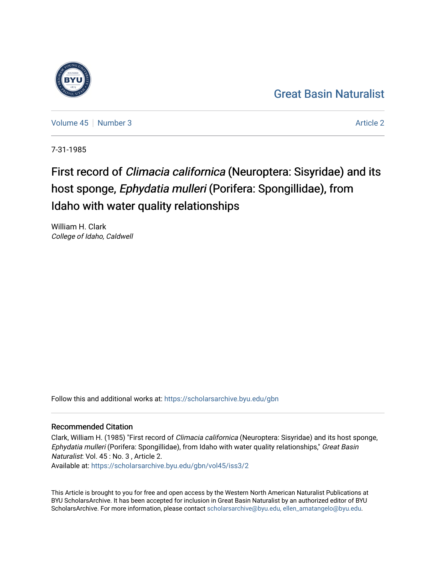## [Great Basin Naturalist](https://scholarsarchive.byu.edu/gbn)

[Volume 45](https://scholarsarchive.byu.edu/gbn/vol45) | [Number 3](https://scholarsarchive.byu.edu/gbn/vol45/iss3) Article 2

7-31-1985

# First record of Climacia californica (Neuroptera: Sisyridae) and its host sponge, Ephydatia mulleri (Porifera: Spongillidae), from Idaho with water quality relationships

William H. Clark College of Idaho, Caldwell

Follow this and additional works at: [https://scholarsarchive.byu.edu/gbn](https://scholarsarchive.byu.edu/gbn?utm_source=scholarsarchive.byu.edu%2Fgbn%2Fvol45%2Fiss3%2F2&utm_medium=PDF&utm_campaign=PDFCoverPages) 

### Recommended Citation

Clark, William H. (1985) "First record of Climacia californica (Neuroptera: Sisyridae) and its host sponge, Ephydatia mulleri (Porifera: Spongillidae), from Idaho with water quality relationships," Great Basin Naturalist: Vol. 45 : No. 3 , Article 2.

Available at: [https://scholarsarchive.byu.edu/gbn/vol45/iss3/2](https://scholarsarchive.byu.edu/gbn/vol45/iss3/2?utm_source=scholarsarchive.byu.edu%2Fgbn%2Fvol45%2Fiss3%2F2&utm_medium=PDF&utm_campaign=PDFCoverPages)

This Article is brought to you for free and open access by the Western North American Naturalist Publications at BYU ScholarsArchive. It has been accepted for inclusion in Great Basin Naturalist by an authorized editor of BYU ScholarsArchive. For more information, please contact [scholarsarchive@byu.edu, ellen\\_amatangelo@byu.edu.](mailto:scholarsarchive@byu.edu,%20ellen_amatangelo@byu.edu)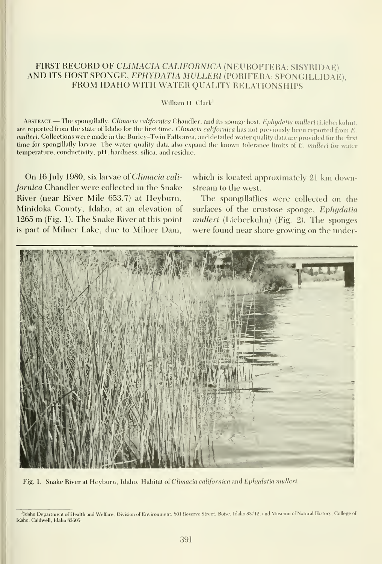#### FIRST RECORD OF CLIMACIA CALIFORNICA (NEUROPTERA: SISYRIDAE) AND ITS HOST SPONGE, EPHYDATIA MULLERl (PORIFERA: SPONGILLIDAE) FROM IDAHO WITH WATER QUALITY RELATIONSHIPS

#### William H. Clark'

ABSTRACT.—The spongillafly, Climacia californica Chandler, and its sponge host, Ephydatia mulleri (Lieberkuhn), are reported from the state of Idaho for the first time. Climacia californica has not previously been reported from E. mulleri. Collections were made in the Burley-Twin Falls area, and detailed water quality data are provided for the first time for spongillafly larvae. The water quality data also expand the known tolerance limits of E. mulleri for water temperature, conductivity, pH, hardness, silica, and residue.

On 16 July 1980, six larvae of Climacia californica Chandler were collected in the Snake River (near River Mile 653.7) at Heyburn, Minidoka County, Idaho, at an elevation of <sup>1265</sup> m (Fig.1). The Snake River at this point is part of Milner Lake, due to Milner Dam, which is located approximately 21 km downstream to the west.

The spongillaflies were collected on the surfaces of the crustose sponge, Ephydatia mulleri (Lieberkuhn) (Fig. 2). The sponges were found near shore growing on the under-



Fig. 1. Snake River at Heyburn, Idaho. Habitat of Climacia californica and Ephydatia mulleri.

Idaho Department of Health and Welfare, Division of Environment, 801 Reserve Street, Boise, Idaho 83712, and Museum of Natural History, College of Idaho, Caldwell, Idaho 83605.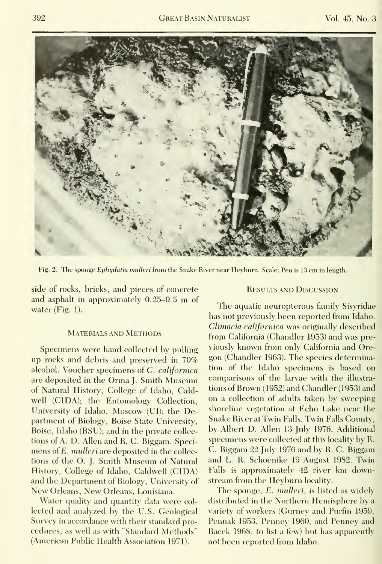

Fig. 2. The sponge Ephydatia mulleri from the Snake River near Heyburn. Scale: Pen is 13 cm in length.

side of rocks, bricks, and pieces of concrete and asphalt in approximately 0.25-0.5 m of water (Fig. 1).

#### Materials and Methods

Specimens were hand collected by pulling up rocks and debris and preserved in 70% alcohol. Voucher specimens of C. californica are deposited in the Orma J. Smith Museum of Natural History, College of Idaho, Caldwell (CIDA); the Entomology Collection, University of Idaho, Moscow (UI); the Department of Biology, Boise State University, Boise, Idaho (BSU); and in the private collec tions of A. D. Allen and R. C. Biggam. Speci mens of E. mulleri are deposited in the collections of the O. J. Smith Museum of Natural History, College of Idaho, Caldwell (CIDA) and the Department of Biology, University of New Orleans, New Orleans, Louisiana.

Water quality and quantity data were collected and analyzed by the U.S. Geological Survey in accordance with their standard pro cedures, as well as with "Standard Methods" (American Public Health Association 1971).

#### Results and Discussion

The aquatic neuropterous family Sisyridae has not previously been reported from Idaho. Climacia californica was originally described from California (Chandler 1953) and was previously known from only California and Ore gon (Chandler 1963). The species determination of the Idaho specimens is based on comparisons of the larvae with the illustra tions of Brown (1952) and Chandler (1953) and on a collection of adults taken by sweeping shoreline vegetation at Echo Lake near the Snake River at Twin Falls, Twin Falls County, by Albert D. Allen 13 July 1976. Additional specimens were collected at this locality by R. C. Biggam 22 July 1976 and by R. C. Biggam and L. R. Schoenike 19 August 1982. Twin Falls is approximately 42 river km downstream from the Heyburn locality.

The sponge, E. mulleri, is listed as widely distributed in the Northern Hemisphere by a variety of workers (Gurney and Purfin 1959, Pennak 1953, Penney 1960, and Penney and Racek 1968, to list a few) but has apparently not been reported from Idaho.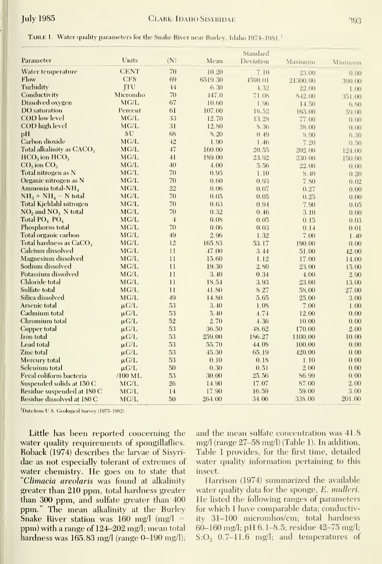|  |  |  |  | TABLE 1. Water quality parameters for the Snake River near Burley, Idaho 1974-1981. |
|--|--|--|--|-------------------------------------------------------------------------------------|
|--|--|--|--|-------------------------------------------------------------------------------------|

| Parameter                             | Units       | (N)            | Mean    | Standard<br>Deviation | Maximum  | Minimum |
|---------------------------------------|-------------|----------------|---------|-----------------------|----------|---------|
| Water temperature                     | <b>CENT</b> | 70             | 10.20   | 7.10                  | 23.00    | 0.00    |
| Flow                                  | <b>CFS</b>  | 69             | 6519.30 | 4590.01               | 21300.00 | 390.00  |
| Turbidity                             | <b>ITU</b>  | 44             | 6.30    | 4.32                  | 22.00    | 1.00    |
| Conductivity                          | Micromho    | 70             | 447.0   | 71.08                 | 842.00   | 351.00  |
| Dissolved oxygen                      | MG/L        | 67             | 10.60   | 1.96                  | 14.50    | 6.80    |
| <b>DO</b> saturation                  | Percent     | 61             | 107.00  | 16.52                 | 163.00   | 59.00   |
| COD low level                         | MG/L        | 33             | 12.70   | 13.28                 | 77.00    | 0.00    |
| COD high level                        | MG/L        | 31             | 12.80   | 8.36                  | 38.00    | 0.00    |
| pH                                    | SU          | 68             | 8.20    | 0.49                  | 8.90     | 6.30    |
| Carbon dioxide                        | MG/L        | 42             | 1.90    | 1.46                  | 7.20     | 0.50    |
| Total alkalinity as CACO <sub>3</sub> | MG/L        | 47             | 160.00  | 20.55                 | 202.00   | 124.00  |
| $HCO3$ ion $HCO3$                     | MG/L        | 41             | 189.00  | 23.92                 | 230.00   | 150.00  |
| $CO3$ ion $CO3$                       | MG/L        | 40             | 4.00    | 5.56                  | 22.00    | 0.00    |
| Total nitrogen as N                   | MG/L        | 70             | 0.95    | 1.10                  | 8,40     | 0.20    |
| Organic nitrogen as N                 | MG/L        | 70             | 0.60    | 0.93                  | 7.80     | 0.02    |
| Ammonia total-NH <sub>4</sub>         | MG/L        | 22             | 0.06    | 0.07                  | 0.27     | 0.00    |
| $NH_3 + NH_4 - N$ total               | MG/L        | 70             | 0.05    | 0.05                  | 0.25     | 0.00    |
| Total Kjeldahl nitrogen               | MG/L        | 70             | 0.63    | 0.94                  | 7.90     | 0.05    |
| $NO2$ and $NO3$ N total               | MG/L        | 70             | 0.32    | 0.46                  | 3.10     | 0.00    |
| Total PO <sub>4</sub> PO <sub>4</sub> | MG/L        | $\overline{4}$ | 0.08    | 0.05                  | 0.15     | 0.03    |
| Phosphorus total                      | MG/L        | 70             | 0.06    | 0.03                  | 0.14     | 0.01    |
| Total organic carbon                  | MG/L        | 49             | 2.96    | 1.32                  | 7.00     | 1.40    |
| Total hardness as $CaCO3$             | MG/L        | 12             | 165.83  | 53.17                 | 190.00   | 0.00    |
| Calcium dissolved                     | MG/L        | 11             | 47.00   | 3.44                  | 51.00    | 42.00   |
| Magnesium dissolved                   | MG/L        | 11             | 15.60   | 1.12                  | 17.00    | 14.00   |
| Sodium dissolved                      | MG/L        | 11             | 19.30   | 2.80                  | 23.00    | 15.00   |
| Potassium dissolved                   | MG/L        | 11             | 3.40    | 0.34                  | 4.00     | 2.90    |
| Chloride total                        | MG/L        | 11             | 18.54   | 3.93                  | 23.00    | 13.00   |
| Sulfate total                         | MG/L        | 11             | 41.80   | 8.27                  | 58.00    | 27.00   |
| Silica dissolved                      | MG/L        | 49             | 14.80   | 5.65                  | 25.00    | 3.00    |
| Arsenic total                         | $\mu$ G/L   | 53             | 3.40    | 1.08                  | 7.00     | 1.00    |
| Cadmium total                         | $\mu$ G/L   | 53             | 5.40    | 4.74                  | 12.00    | 0.00    |
| Chromium total                        | $\mu$ G/L   | 52             | 2.70    | 4.36                  | 10.00    | 0.00    |
| Copper total                          | $\mu$ G/L   | 53             | 36.50   | 48.62                 | 170.00   | 2.00    |
| Iron total                            | $\mu$ G/L   | 53             | 259.00  | 186.27                | 1100.00  | 10.00   |
| Lead total                            | $\mu$ G/L   | 53             | 55.70   | 44.08                 | 100.00   | 0.00    |
| Zinc total                            | $\mu$ G/L   | 53             | 45.30   | 65.19                 | 420.00   | 0.00    |
| Mercury total                         | $\mu$ G/L   | 53             | 0.10    | 0.18                  | 1.10     | 0.00    |
| Selenium total                        | $\mu$ G/L   | 50             | 0.30    | 0.51                  | 2.00     | 0.00    |
| Fecal coliform bacteria               | $/100$ ML   | 53             | 30.00   | 25.56                 | 86.99    | 0.00    |
| Suspended solids at 150 C             | MG/L        | 26             | 14.90   | 17.07                 | 87.00    | 2.00    |
| Residue suspended at 180 C            | MG/L        | 14             | 17.90   | 16.59                 | 59.00    | 3.00    |
| Residue dissolved at 180 C            | MG/L        | 50             | 264.00  | 34.06                 | 338.00   | 201.00  |

<sup>1</sup>Data from U.S. Geological Survey (1975-1982).

Little has been reported concerning the water quality requirements of spongillaflies. Roback (1974) describes the larvae of Sisyridae as not especially tolerant of extremes of water chemistry. He goes on to state that "Climacia areolaris was found at alkalinity greater than 210 ppm, total hardness greater than 300 ppm, and sulfate greater than 400 ppm." The mean alkalinity at the Burley Snake River station was 160 mg/l (mg/l = ppm) with a range of 124-202 mg/l; mean total hardness was 165.83 mg/l (range 0-190 mg/l); and the mean sulfate concentration was 41.8  $mg/l$  (range 27–58 mg/l) (Table 1). In addition, Table 1 provides, for the first time, detailed water quality information pertaining to this insect.

Harrison (1974) summarized the available water quality data for the sponge, E. mulleri. He listed the following ranges of parameters for which I have comparable data; conductivity 31-100 micromhos/cm; total hardness 60-160 mg/l; pH 6.1-8.5; residue 42-75 mg/l;  $S:O<sub>2</sub>$  0.7-11.6 mg/l; and temperatures of